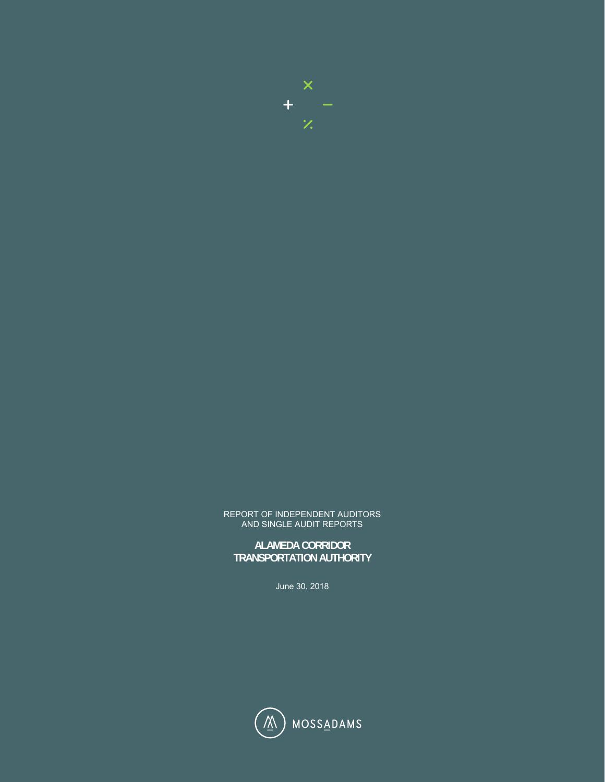

#### REPORT OF INDEPENDENT AUDITORS AND SINGLE AUDIT REPORTS

**ALAMEDA CORRIDOR TRANSPORTATION AUTHORITY** 

June 30, 2018

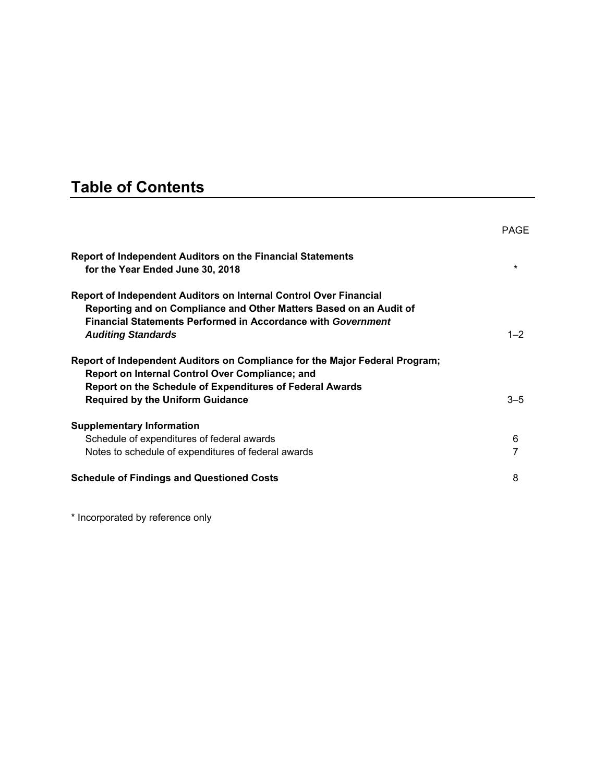# **Table of Contents**

|                                                                                                                                                                                                                                                    | <b>PAGE</b> |
|----------------------------------------------------------------------------------------------------------------------------------------------------------------------------------------------------------------------------------------------------|-------------|
| <b>Report of Independent Auditors on the Financial Statements</b><br>for the Year Ended June 30, 2018                                                                                                                                              | *           |
| <b>Report of Independent Auditors on Internal Control Over Financial</b><br>Reporting and on Compliance and Other Matters Based on an Audit of<br><b>Financial Statements Performed in Accordance with Government</b><br><b>Auditing Standards</b> | $1 - 2$     |
| Report of Independent Auditors on Compliance for the Major Federal Program;<br>Report on Internal Control Over Compliance; and<br><b>Report on the Schedule of Expenditures of Federal Awards</b><br><b>Required by the Uniform Guidance</b>       | $3 - 5$     |
| <b>Supplementary Information</b><br>Schedule of expenditures of federal awards<br>Notes to schedule of expenditures of federal awards                                                                                                              | 6           |
| <b>Schedule of Findings and Questioned Costs</b>                                                                                                                                                                                                   | 8           |

\* Incorporated by reference only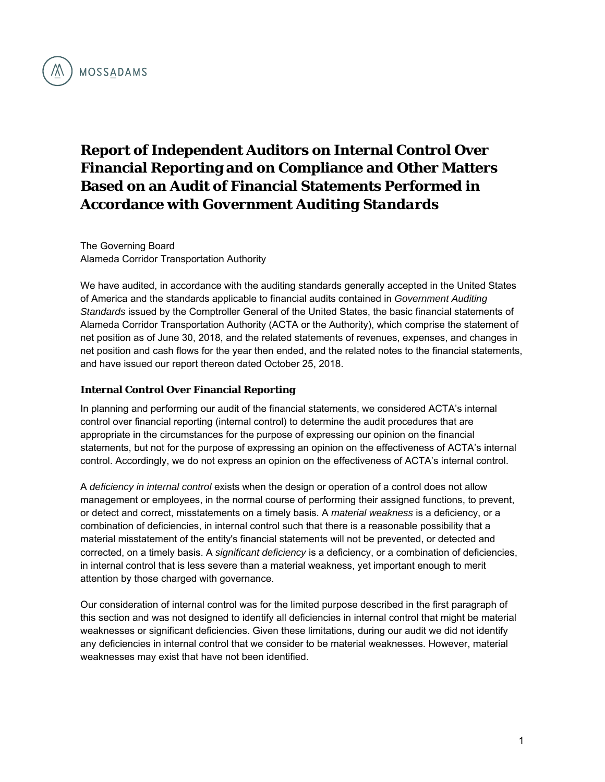

## **Report of Independent Auditors on Internal Control Over Financial Reporting and on Compliance and Other Matters Based on an Audit of Financial Statements Performed in Accordance with** *Government Auditing Standards*

The Governing Board Alameda Corridor Transportation Authority

We have audited, in accordance with the auditing standards generally accepted in the United States of America and the standards applicable to financial audits contained in *Government Auditing Standards* issued by the Comptroller General of the United States, the basic financial statements of Alameda Corridor Transportation Authority (ACTA or the Authority), which comprise the statement of net position as of June 30, 2018, and the related statements of revenues, expenses, and changes in net position and cash flows for the year then ended, and the related notes to the financial statements, and have issued our report thereon dated October 25, 2018.

#### **Internal Control Over Financial Reporting**

In planning and performing our audit of the financial statements, we considered ACTA's internal control over financial reporting (internal control) to determine the audit procedures that are appropriate in the circumstances for the purpose of expressing our opinion on the financial statements, but not for the purpose of expressing an opinion on the effectiveness of ACTA's internal control. Accordingly, we do not express an opinion on the effectiveness of ACTA's internal control.

A *deficiency in internal control* exists when the design or operation of a control does not allow management or employees, in the normal course of performing their assigned functions, to prevent, or detect and correct, misstatements on a timely basis. A *material weakness* is a deficiency, or a combination of deficiencies, in internal control such that there is a reasonable possibility that a material misstatement of the entity's financial statements will not be prevented, or detected and corrected, on a timely basis. A *significant deficiency* is a deficiency, or a combination of deficiencies, in internal control that is less severe than a material weakness, yet important enough to merit attention by those charged with governance.

Our consideration of internal control was for the limited purpose described in the first paragraph of this section and was not designed to identify all deficiencies in internal control that might be material weaknesses or significant deficiencies. Given these limitations, during our audit we did not identify any deficiencies in internal control that we consider to be material weaknesses. However, material weaknesses may exist that have not been identified.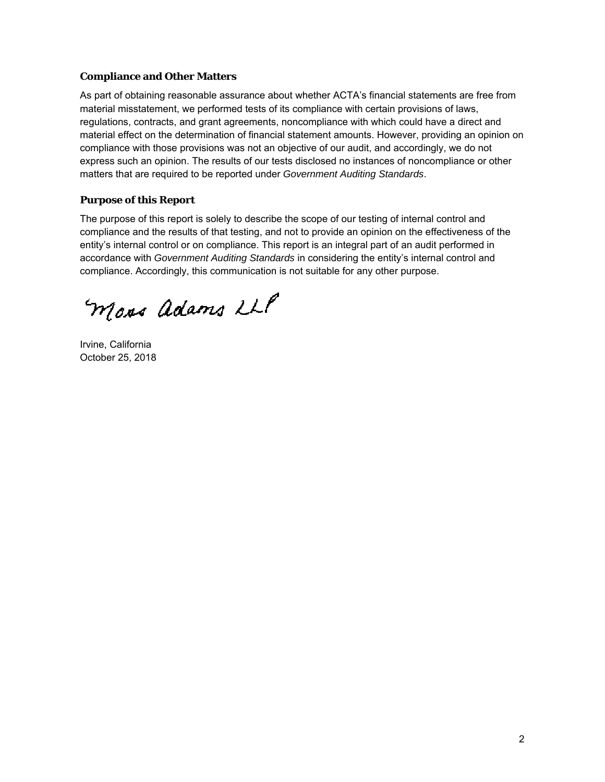#### **Compliance and Other Matters**

As part of obtaining reasonable assurance about whether ACTA's financial statements are free from material misstatement, we performed tests of its compliance with certain provisions of laws, regulations, contracts, and grant agreements, noncompliance with which could have a direct and material effect on the determination of financial statement amounts. However, providing an opinion on compliance with those provisions was not an objective of our audit, and accordingly, we do not express such an opinion. The results of our tests disclosed no instances of noncompliance or other matters that are required to be reported under *Government Auditing Standards*.

#### **Purpose of this Report**

The purpose of this report is solely to describe the scope of our testing of internal control and compliance and the results of that testing, and not to provide an opinion on the effectiveness of the entity's internal control or on compliance. This report is an integral part of an audit performed in accordance with *Government Auditing Standards* in considering the entity's internal control and compliance. Accordingly, this communication is not suitable for any other purpose.

Mons adams LLP

Irvine, California October 25, 2018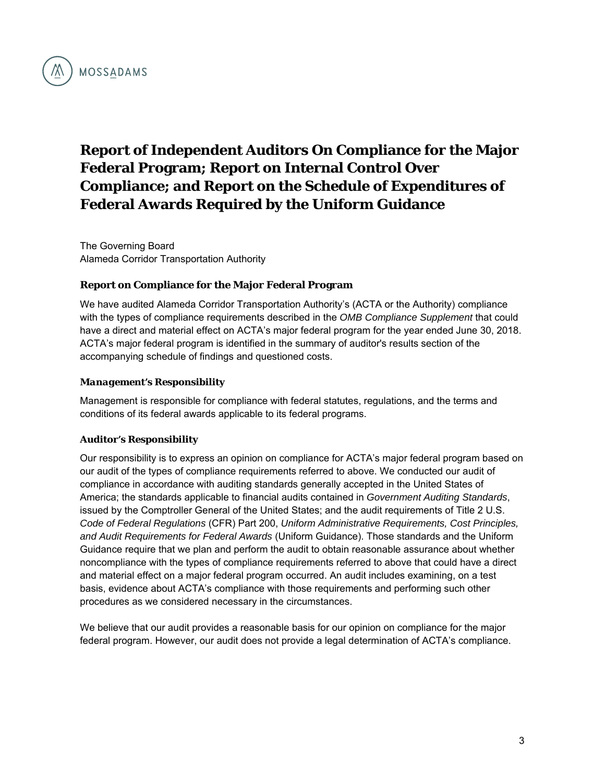

## **Report of Independent Auditors On Compliance for the Major Federal Program; Report on Internal Control Over Compliance; and Report on the Schedule of Expenditures of Federal Awards Required by the Uniform Guidance**

The Governing Board Alameda Corridor Transportation Authority

#### **Report on Compliance for the Major Federal Program**

We have audited Alameda Corridor Transportation Authority's (ACTA or the Authority) compliance with the types of compliance requirements described in the *OMB Compliance Supplement* that could have a direct and material effect on ACTA's major federal program for the year ended June 30, 2018. ACTA's major federal program is identified in the summary of auditor's results section of the accompanying schedule of findings and questioned costs.

#### *Management's Responsibility*

Management is responsible for compliance with federal statutes, regulations, and the terms and conditions of its federal awards applicable to its federal programs.

#### *Auditor's Responsibility*

Our responsibility is to express an opinion on compliance for ACTA's major federal program based on our audit of the types of compliance requirements referred to above. We conducted our audit of compliance in accordance with auditing standards generally accepted in the United States of America; the standards applicable to financial audits contained in *Government Auditing Standards*, issued by the Comptroller General of the United States; and the audit requirements of Title 2 U.S. *Code of Federal Regulations* (CFR) Part 200, *Uniform Administrative Requirements, Cost Principles, and Audit Requirements for Federal Awards* (Uniform Guidance). Those standards and the Uniform Guidance require that we plan and perform the audit to obtain reasonable assurance about whether noncompliance with the types of compliance requirements referred to above that could have a direct and material effect on a major federal program occurred. An audit includes examining, on a test basis, evidence about ACTA's compliance with those requirements and performing such other procedures as we considered necessary in the circumstances.

We believe that our audit provides a reasonable basis for our opinion on compliance for the major federal program. However, our audit does not provide a legal determination of ACTA's compliance.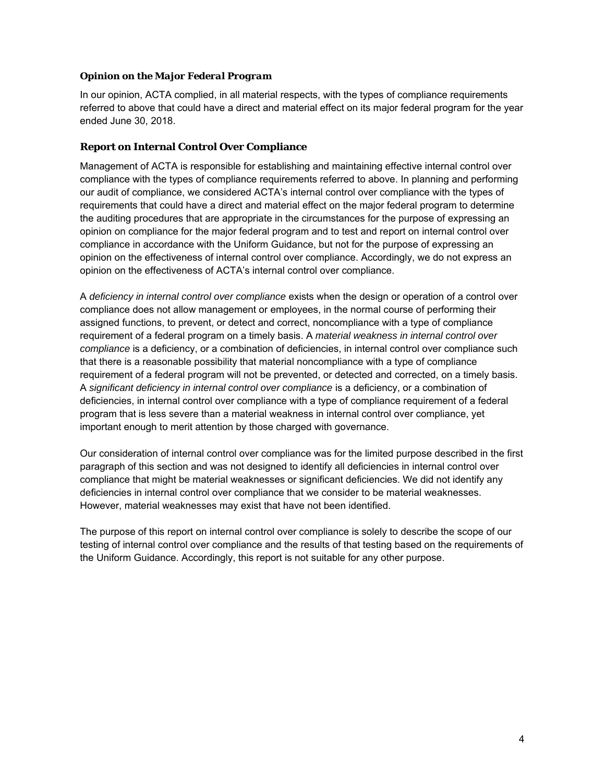#### *Opinion on the Major Federal Program*

In our opinion, ACTA complied, in all material respects, with the types of compliance requirements referred to above that could have a direct and material effect on its major federal program for the year ended June 30, 2018.

#### **Report on Internal Control Over Compliance**

Management of ACTA is responsible for establishing and maintaining effective internal control over compliance with the types of compliance requirements referred to above. In planning and performing our audit of compliance, we considered ACTA's internal control over compliance with the types of requirements that could have a direct and material effect on the major federal program to determine the auditing procedures that are appropriate in the circumstances for the purpose of expressing an opinion on compliance for the major federal program and to test and report on internal control over compliance in accordance with the Uniform Guidance, but not for the purpose of expressing an opinion on the effectiveness of internal control over compliance. Accordingly, we do not express an opinion on the effectiveness of ACTA's internal control over compliance.

A *deficiency in internal control over compliance* exists when the design or operation of a control over compliance does not allow management or employees, in the normal course of performing their assigned functions, to prevent, or detect and correct, noncompliance with a type of compliance requirement of a federal program on a timely basis. A *material weakness in internal control over compliance* is a deficiency, or a combination of deficiencies, in internal control over compliance such that there is a reasonable possibility that material noncompliance with a type of compliance requirement of a federal program will not be prevented, or detected and corrected, on a timely basis. A *significant deficiency in internal control over compliance* is a deficiency, or a combination of deficiencies, in internal control over compliance with a type of compliance requirement of a federal program that is less severe than a material weakness in internal control over compliance, yet important enough to merit attention by those charged with governance.

Our consideration of internal control over compliance was for the limited purpose described in the first paragraph of this section and was not designed to identify all deficiencies in internal control over compliance that might be material weaknesses or significant deficiencies. We did not identify any deficiencies in internal control over compliance that we consider to be material weaknesses. However, material weaknesses may exist that have not been identified.

The purpose of this report on internal control over compliance is solely to describe the scope of our testing of internal control over compliance and the results of that testing based on the requirements of the Uniform Guidance. Accordingly, this report is not suitable for any other purpose.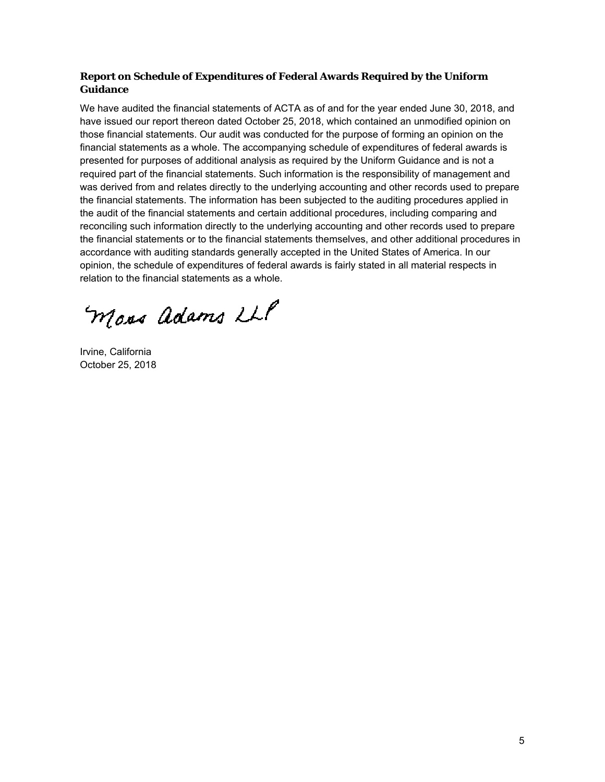#### **Report on Schedule of Expenditures of Federal Awards Required by the Uniform Guidance**

We have audited the financial statements of ACTA as of and for the year ended June 30, 2018, and have issued our report thereon dated October 25, 2018, which contained an unmodified opinion on those financial statements. Our audit was conducted for the purpose of forming an opinion on the financial statements as a whole. The accompanying schedule of expenditures of federal awards is presented for purposes of additional analysis as required by the Uniform Guidance and is not a required part of the financial statements. Such information is the responsibility of management and was derived from and relates directly to the underlying accounting and other records used to prepare the financial statements. The information has been subjected to the auditing procedures applied in the audit of the financial statements and certain additional procedures, including comparing and reconciling such information directly to the underlying accounting and other records used to prepare the financial statements or to the financial statements themselves, and other additional procedures in accordance with auditing standards generally accepted in the United States of America. In our opinion, the schedule of expenditures of federal awards is fairly stated in all material respects in relation to the financial statements as a whole.

Mons adams LLP

Irvine, California October 25, 2018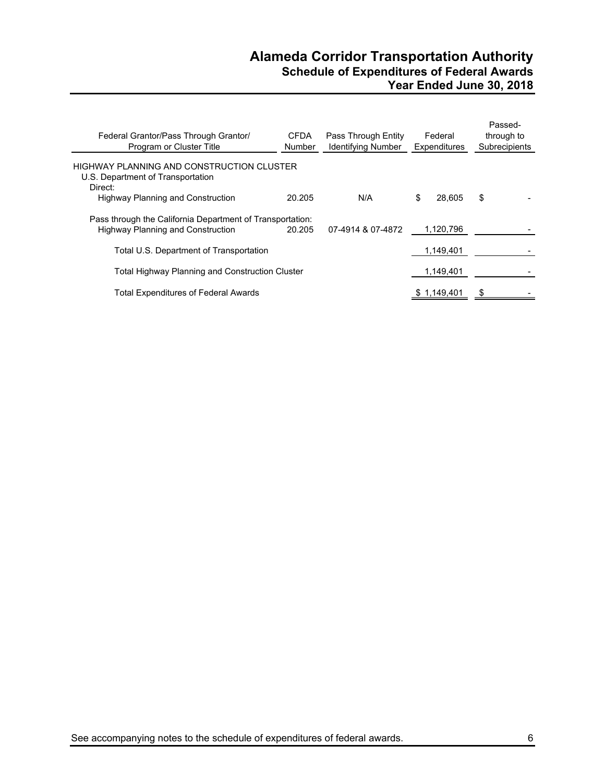## **Alameda Corridor Transportation Authority Schedule of Expenditures of Federal Awards Year Ended June 30, 2018**

| Federal Grantor/Pass Through Grantor/<br>Program or Cluster Title                                     | <b>CFDA</b><br><b>Number</b> | Pass Through Entity<br><b>Identifying Number</b> | Federal<br>Expenditures | Passed-<br>through to<br>Subrecipients |
|-------------------------------------------------------------------------------------------------------|------------------------------|--------------------------------------------------|-------------------------|----------------------------------------|
| <b>HIGHWAY PLANNING AND CONSTRUCTION CLUSTER</b><br>U.S. Department of Transportation<br>Direct:      |                              |                                                  |                         |                                        |
| <b>Highway Planning and Construction</b>                                                              | 20.205                       | N/A                                              | \$<br>28.605            | \$                                     |
| Pass through the California Department of Transportation:<br><b>Highway Planning and Construction</b> | 20.205                       | 07-4914 & 07-4872                                | 1,120,796               |                                        |
| Total U.S. Department of Transportation                                                               |                              |                                                  | 1,149,401               |                                        |
| Total Highway Planning and Construction Cluster                                                       |                              |                                                  | 1,149,401               |                                        |
| <b>Total Expenditures of Federal Awards</b>                                                           |                              |                                                  | \$1,149,401             |                                        |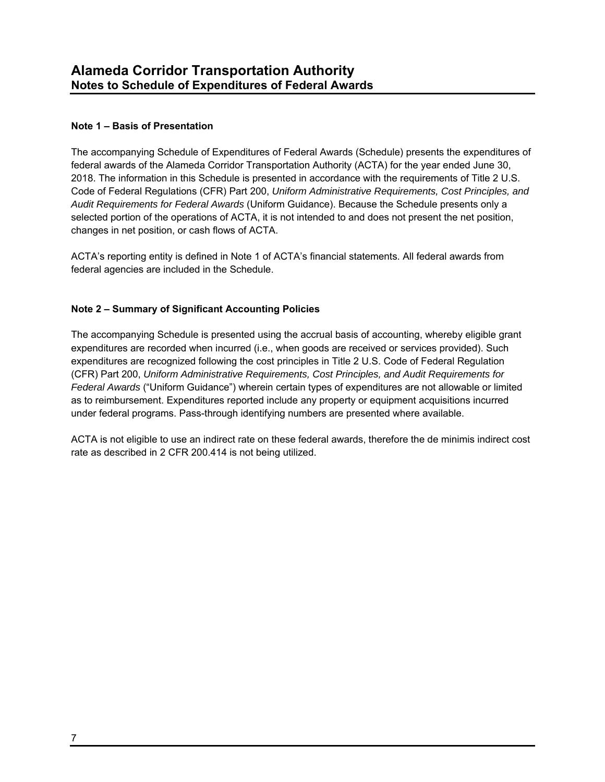#### **Note 1 – Basis of Presentation**

The accompanying Schedule of Expenditures of Federal Awards (Schedule) presents the expenditures of federal awards of the Alameda Corridor Transportation Authority (ACTA) for the year ended June 30, 2018. The information in this Schedule is presented in accordance with the requirements of Title 2 U.S. Code of Federal Regulations (CFR) Part 200, *Uniform Administrative Requirements, Cost Principles, and Audit Requirements for Federal Awards* (Uniform Guidance). Because the Schedule presents only a selected portion of the operations of ACTA, it is not intended to and does not present the net position, changes in net position, or cash flows of ACTA.

ACTA's reporting entity is defined in Note 1 of ACTA's financial statements. All federal awards from federal agencies are included in the Schedule.

#### **Note 2 – Summary of Significant Accounting Policies**

The accompanying Schedule is presented using the accrual basis of accounting, whereby eligible grant expenditures are recorded when incurred (i.e., when goods are received or services provided). Such expenditures are recognized following the cost principles in Title 2 U.S. Code of Federal Regulation (CFR) Part 200, *Uniform Administrative Requirements, Cost Principles, and Audit Requirements for Federal Awards* ("Uniform Guidance") wherein certain types of expenditures are not allowable or limited as to reimbursement. Expenditures reported include any property or equipment acquisitions incurred under federal programs. Pass-through identifying numbers are presented where available.

ACTA is not eligible to use an indirect rate on these federal awards, therefore the de minimis indirect cost rate as described in 2 CFR 200.414 is not being utilized.